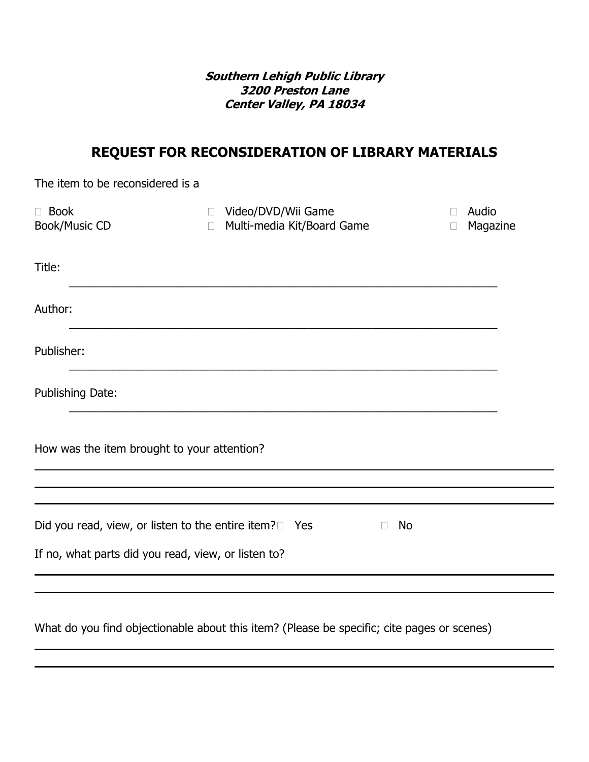**Southern Lehigh Public Library 3200 Preston Lane Center Valley, PA 18034** 

## **REQUEST FOR RECONSIDERATION OF LIBRARY MATERIALS**

| The item to be reconsidered is a                                |                                                              |                             |
|-----------------------------------------------------------------|--------------------------------------------------------------|-----------------------------|
| $\Box$ Book<br><b>Book/Music CD</b>                             | □ Video/DVD/Wii Game<br>Multi-media Kit/Board Game<br>$\Box$ | Audio<br>Magazine<br>$\Box$ |
| Title:                                                          |                                                              |                             |
| Author:                                                         |                                                              |                             |
| Publisher:                                                      |                                                              |                             |
| Publishing Date:                                                |                                                              |                             |
| How was the item brought to your attention?                     |                                                              |                             |
|                                                                 |                                                              |                             |
| Did you read, view, or listen to the entire item? $\square$ Yes | <b>No</b><br>$\Box$                                          |                             |
| If no, what parts did you read, view, or listen to?             |                                                              |                             |
|                                                                 |                                                              |                             |

What do you find objectionable about this item? (Please be specific; cite pages or scenes)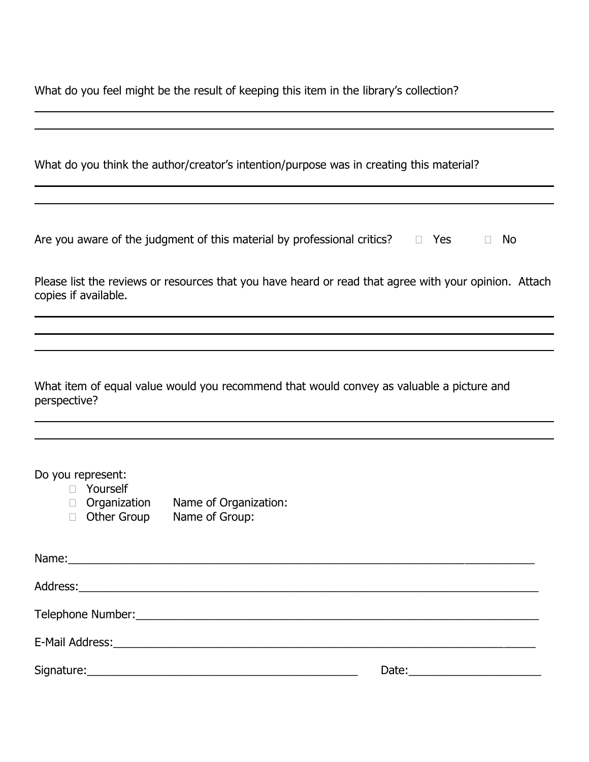What do you feel might be the result of keeping this item in the library's collection?

| Are you aware of the judgment of this material by professional critics? $\Box$ Yes |  | $\Box$ No |
|------------------------------------------------------------------------------------|--|-----------|
|------------------------------------------------------------------------------------|--|-----------|

| Please list the reviews or resources that you have heard or read that agree with your opinion. Attach |  |  |  |
|-------------------------------------------------------------------------------------------------------|--|--|--|
| copies if available.                                                                                  |  |  |  |

|              | What item of equal value would you recommend that would convey as valuable a picture and |  |  |  |
|--------------|------------------------------------------------------------------------------------------|--|--|--|
| perspective? |                                                                                          |  |  |  |

Do you represent:

- □ Yourself<br>□ Organization □ Organization Name of Organization:<br>□ Other Group Name of Group:
	- Name of Group:

| Name: 2008 2008 2010 2020 2021 2022 2023 2024 2022 2022 2023 2024 2022 2023 2024 2022 2023 2024 2022 2023 2024 |                                     |
|----------------------------------------------------------------------------------------------------------------|-------------------------------------|
|                                                                                                                |                                     |
|                                                                                                                |                                     |
|                                                                                                                |                                     |
|                                                                                                                | Date: <u>______________________</u> |